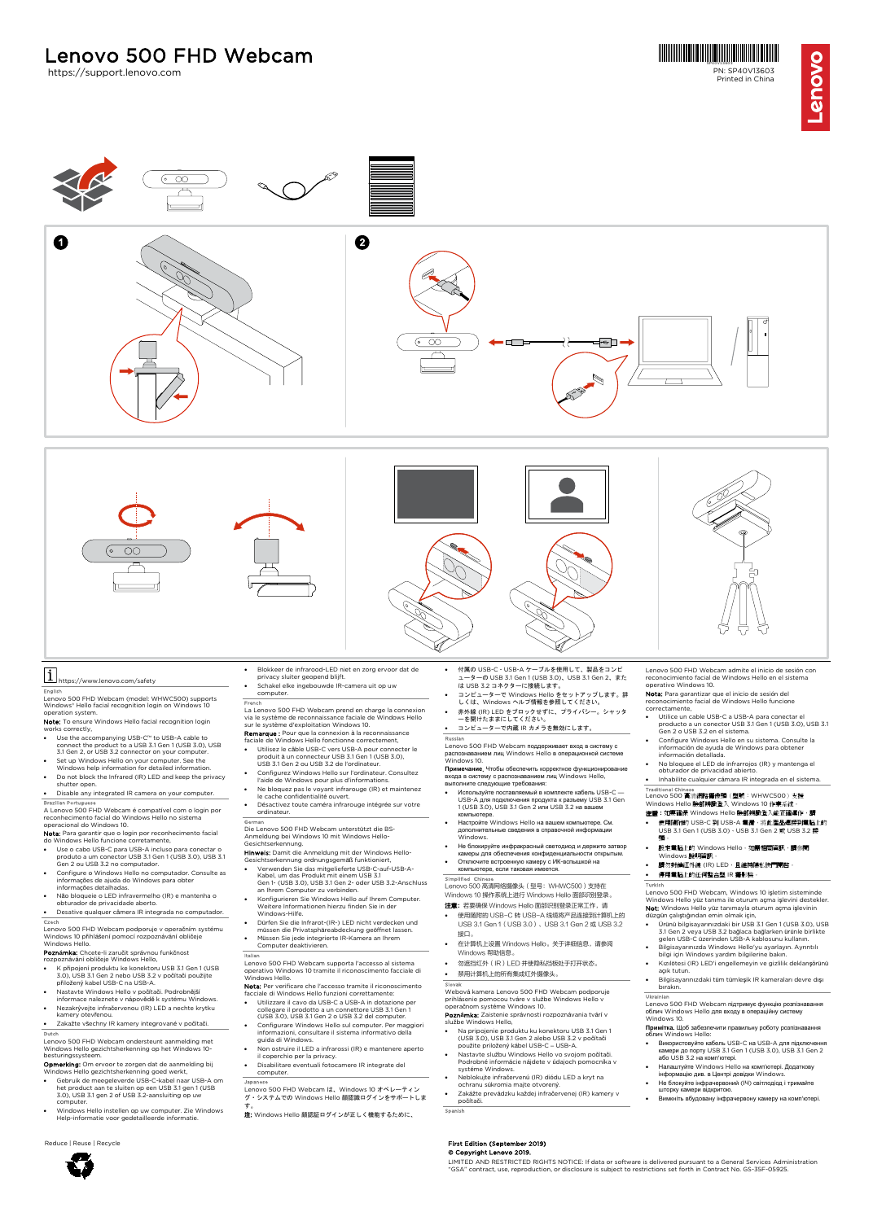# Lenovo 500 FHD Webcam<br>https://support.lenovo.com





- 
- computer. Windows Hello instellen op uw computer. Zie Windows Help-informatie voor gedetailleerde informatie.
- Reduce | Reuse | Recycle
- **Opmerking:** Om ervoor te zorgen dat de aanmelding bij<br>Windows Hello gezichtsherkenning goed werkt,<br>• Gebruik de meegeleverde USB-C-kabel naar USB-A om
	- het product aan te sluiten op een USB 3.1 gen 1 (USB 3.0), USB 3.1 gen 2 of USB 3.2-aansluiting op uw
	-
- 
- Japanese Lenovo 500 FHD Webcam は、Windows 10 オペレーティン グ・システムでの Windows Hello 顔認識ログインをサポートしま
- す。<br>**注:** Windows Hello 顔認証ログインが正しく機能するために、

- Neblokujte infračervenú (IR) diódu LED a kryt na ochranu súkromia majte otvorený.
- Zakážte prevádzku každej infračervenej (IR) kamery v počítači.
- Spanish

# First Edition (September 2019) © Copyright Lenovo 2019.

LIMITED AND RESTRICTED RIGHTS NOTICE: If data or software is delivered pursuant to a General Services Administration<br>"GSA" contract, use, reproduction, or disclosure is subject to restrictions set forth in Contract No. GS-

- 
-